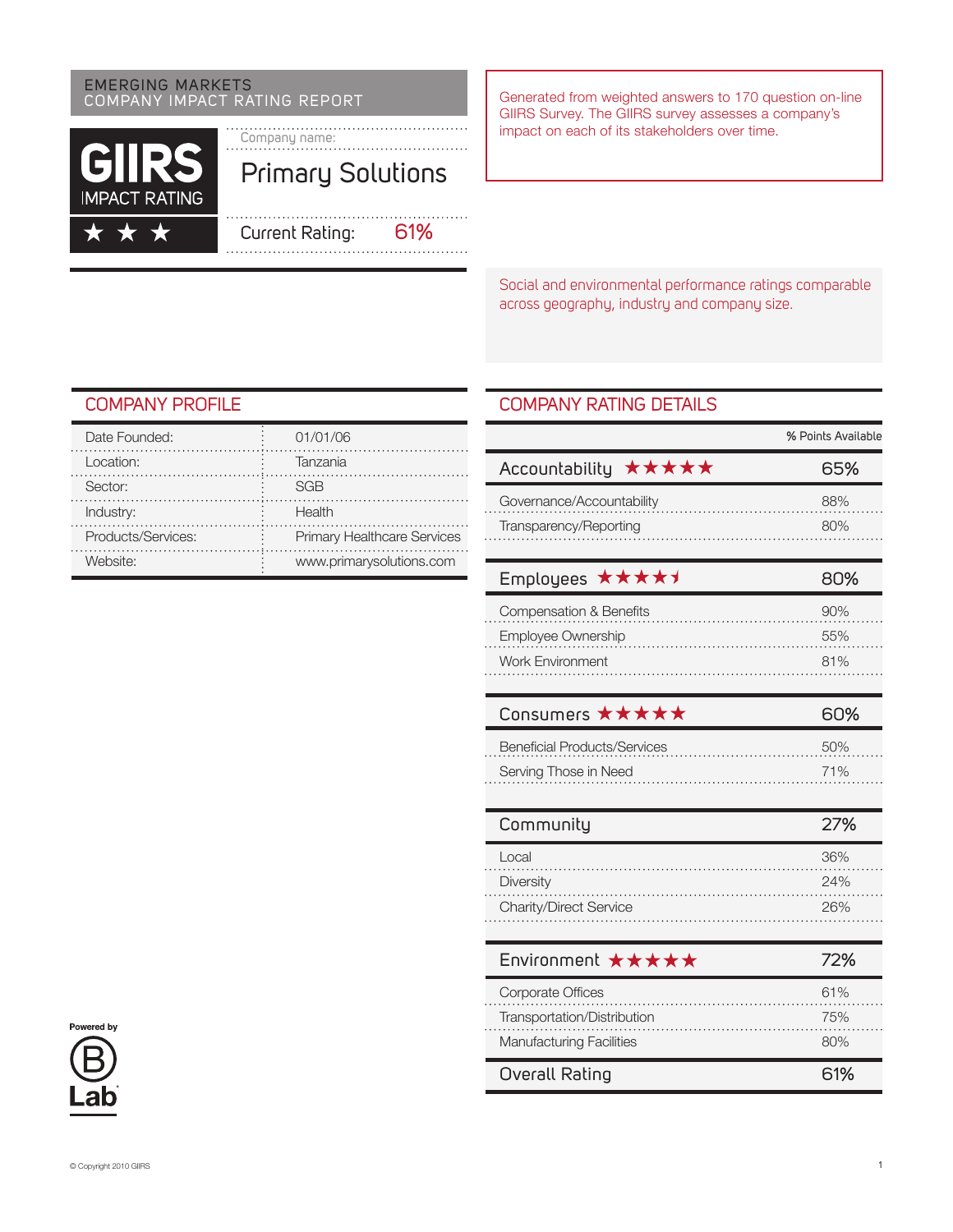# EMERGING MARKETS<br>COMPANY IMPACT RATING REPORT Generated from weighted answers to 170 question on-line



 $\bigstar$ 

Company name: Primary Solutions

Current Rating: 61%

GIIRS Survey. The GIIRS survey assesses a company's impact on each of its stakeholders over time.

Social and environmental performance ratings comparable across geography, industry and company size.

## Company Profile

| Date Founded:        | 01/01/06                           |
|----------------------|------------------------------------|
| Location:            | Tanzania                           |
| Sector:              | SGR                                |
| Industry:            | Health                             |
| Products/Services:   | <b>Primary Healthcare Services</b> |
| Website <sup>.</sup> | www.primarysolutions.com           |

## Company RATING DETAILS

|                                     | % Points Available |
|-------------------------------------|--------------------|
| *****<br>Accountability             | 65%                |
| Governance/Accountability           | 88%                |
| Transparency/Reporting              | 80%                |
|                                     |                    |
| *****<br><b>Employees</b>           | 80%                |
| Compensation & Benefits             | 90%                |
| Employee Ownership                  | 55%                |
| <b>Work Environment</b>             | 81%                |
|                                     |                    |
| Consumers ★★★★★                     | 60%                |
| <b>Beneficial Products/Services</b> | 50%                |
| Serving Those in Need               | 71%                |
|                                     |                    |
| Community                           | 27%                |
| Local                               | 36%                |
| Diversity                           | 24%                |
| Charity/Direct Service              | 26%                |
|                                     |                    |
| Environment ★★★★★                   | 72%                |
| Corporate Offices                   | 61%                |
| Transportation/Distribution         | 75%                |
| <b>Manufacturing Facilities</b>     | 80%                |
| Overall Rating                      | 61%                |

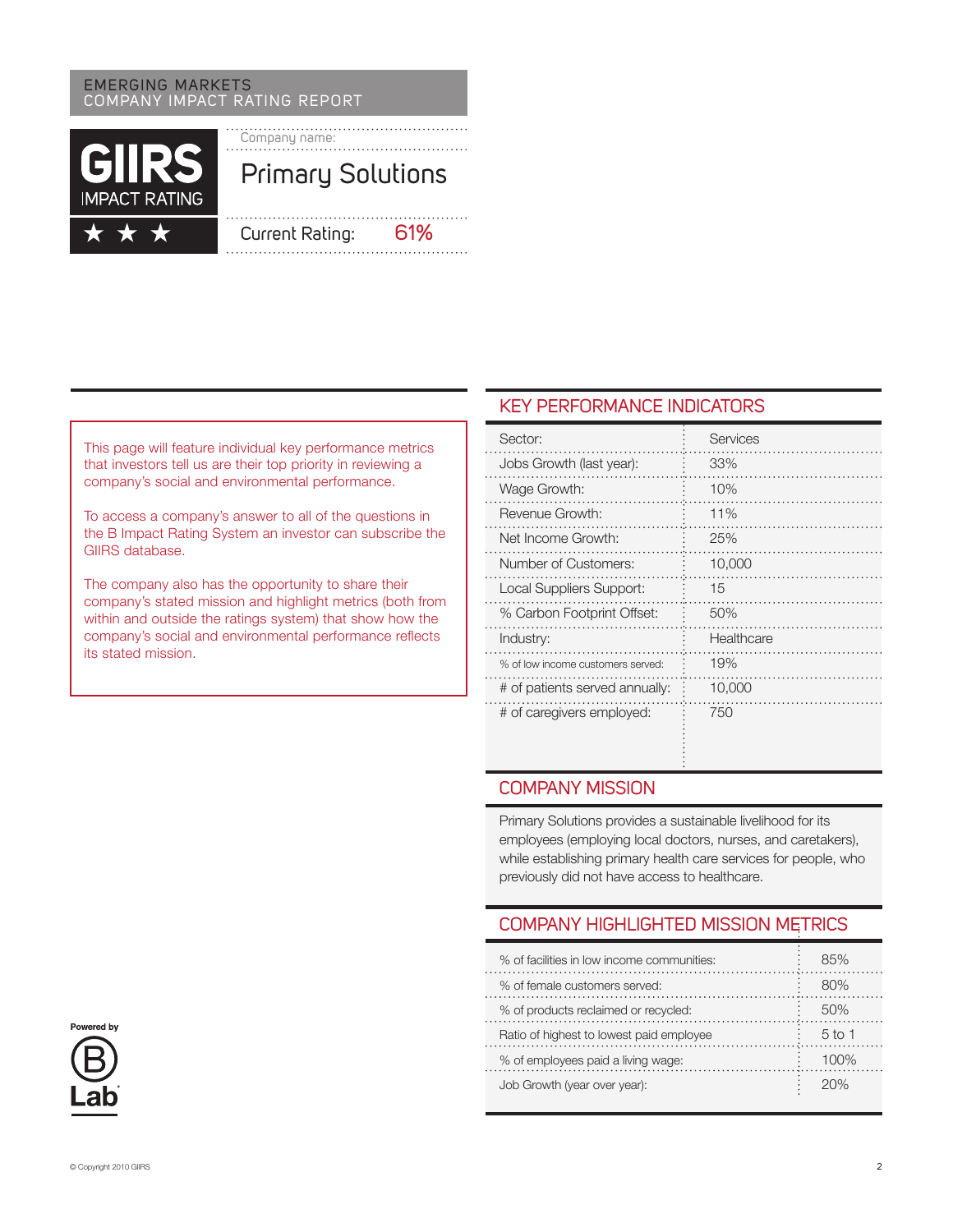#### emerging markets COMPANY Impact Rating Report



This page will feature individual key performance metrics that investors tell us are their top priority in reviewing a company's social and environmental performance.

To access a company's answer to all of the questions in the B Impact Rating System an investor can subscribe the GIIRS database.

The company also has the opportunity to share their company's stated mission and highlight metrics (both from within and outside the ratings system) that show how the company's social and environmental performance reflects its stated mission.

## KEY PERFORMANCE INDICATORS

| Sector:                           | Services   |
|-----------------------------------|------------|
| Jobs Growth (last year):          | 33%        |
| Wage Growth:                      | 10%        |
| Revenue Growth:                   | 11%        |
| Net Income Growth:                | 25%        |
| Number of Customers:              | 10,000     |
| Local Suppliers Support:          | 15         |
| % Carbon Footprint Offset:        | 50%        |
| Industry:                         | Healthcare |
| % of low income customers served: | 19%        |
| # of patients served annually:    | 10,000     |
| # of caregivers employed:         | 750        |

### Company MISSION

Primary Solutions provides a sustainable livelihood for its employees (employing local doctors, nurses, and caretakers), while establishing primary health care services for people, who previously did not have access to healthcare.

# Company Highlighted Mission Metrics

| % of facilities in low income communities: | 85%    |
|--------------------------------------------|--------|
| % of female customers served:              | 80%    |
| % of products reclaimed or recycled:       | 50%    |
| Ratio of highest to lowest paid employee   | 5 to 1 |
| % of employees paid a living wage:         | 100%   |
| Job Growth (year over year):               | 20%    |

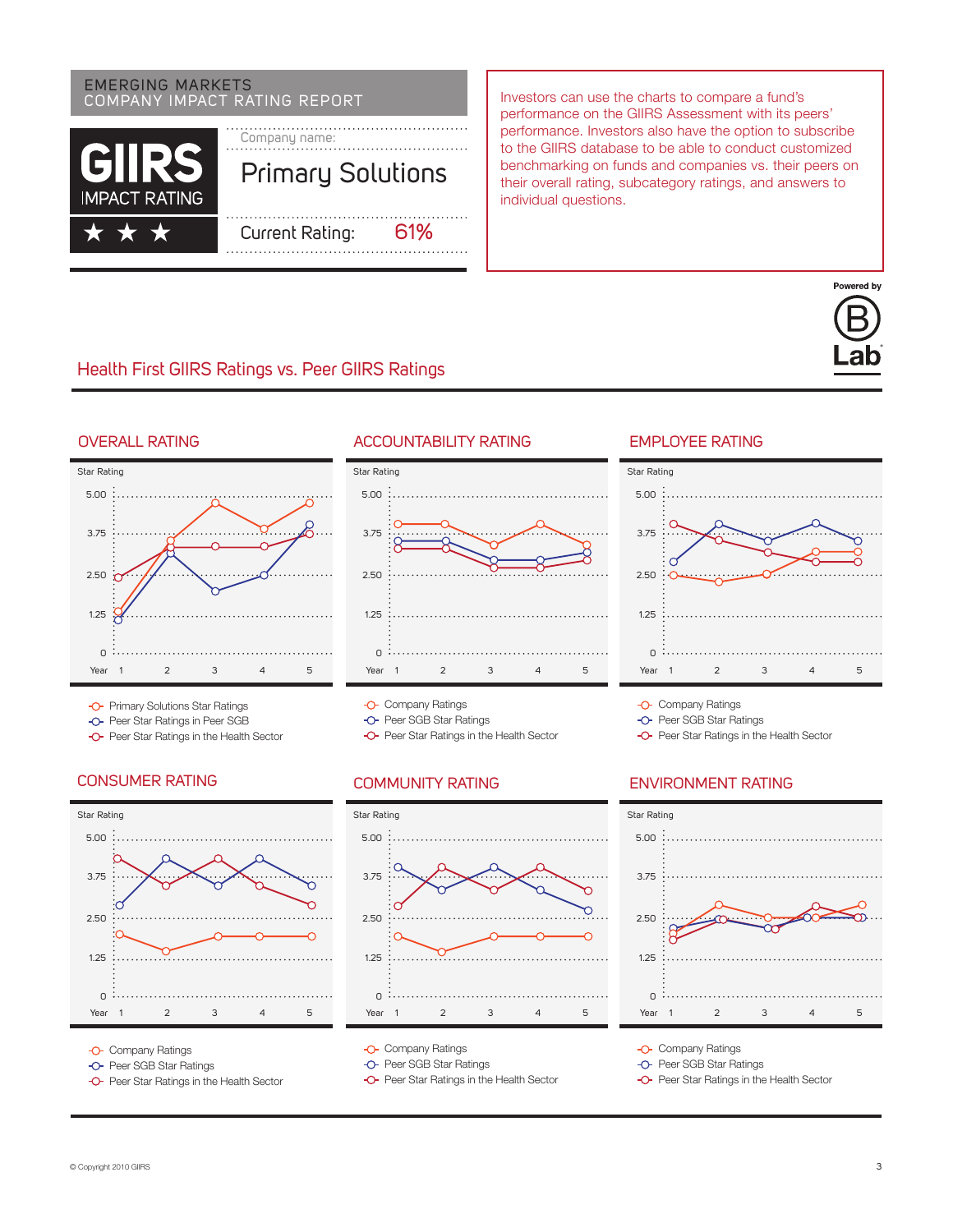# emerging markets



COMPANY IMPACT RATING REPORT **Investors** can use the charts to compare a fund's performance on the GIIRS Assessment with its peers' performance. Investors also have the option to subscribe to the GIIRS database to be able to conduct customized benchmarking on funds and companies vs. their peers on their overall rating, subcategory ratings, and answers to individual questions.

# Health First GIIRS Ratings vs. Peer GIIRS Ratings





- -O- Primary Solutions Star Ratings
- -O- Peer Star Ratings in Peer SGB
- **-O-** Peer Star Ratings in the Health Sector

#### CONSUMER RATING COMMUNITY RATING



- **-O-** Company Ratings
- -O- Peer SGB Star Ratings
- -O- Peer Star Ratings in the Health Sector

#### OVERALL RATING ACCOUNTABILITY RATING



**-O-** Company Ratings

-O- Peer SGB Star Ratings

**-O-** Peer Star Ratings in the Health Sector



- **-O-** Company Ratings
- -O- Peer SGB Star Ratings
- **-O-** Peer Star Ratings in the Health Sector

#### **EMPI OYFE RATING**



**-O-** Company Ratings

-O- Peer SGB Star Ratings

**-O-** Peer Star Ratings in the Health Sector

#### Environment Rating



**-O-** Company Ratings

- -O- Peer SGB Star Ratings
- **-O-** Peer Star Ratings in the Health Sector